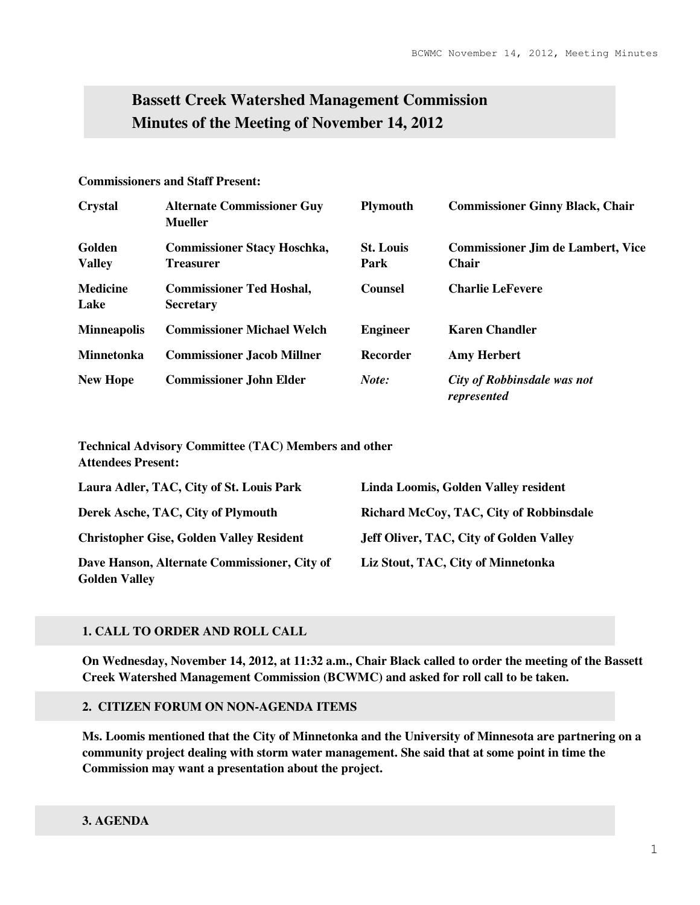# **Bassett Creek Watershed Management Commission Minutes of the Meeting of November 14, 2012**

## **Commissioners and Staff Present:**

| <b>Crystal</b>          | <b>Alternate Commissioner Guy</b><br><b>Mueller</b>    | <b>Plymouth</b>          | <b>Commissioner Ginny Black, Chair</b>                   |
|-------------------------|--------------------------------------------------------|--------------------------|----------------------------------------------------------|
| Golden<br><b>Valley</b> | <b>Commissioner Stacy Hoschka,</b><br><b>Treasurer</b> | <b>St. Louis</b><br>Park | <b>Commissioner Jim de Lambert, Vice</b><br><b>Chair</b> |
| <b>Medicine</b><br>Lake | <b>Commissioner Ted Hoshal,</b><br><b>Secretary</b>    | <b>Counsel</b>           | <b>Charlie LeFevere</b>                                  |
| <b>Minneapolis</b>      | <b>Commissioner Michael Welch</b>                      | <b>Engineer</b>          | <b>Karen Chandler</b>                                    |
| <b>Minnetonka</b>       | <b>Commissioner Jacob Millner</b>                      | Recorder                 | <b>Amy Herbert</b>                                       |
| <b>New Hope</b>         | <b>Commissioner John Elder</b>                         | Note:                    | City of Robbinsdale was not<br>represented               |

**Technical Advisory Committee (TAC) Members and other Attendees Present:** 

| Laura Adler, TAC, City of St. Louis Park        | Linda Loomis, Golden Valley resident           |
|-------------------------------------------------|------------------------------------------------|
| Derek Asche, TAC, City of Plymouth              | Richard McCoy, TAC, City of Robbinsdale        |
| <b>Christopher Gise, Golden Valley Resident</b> | <b>Jeff Oliver, TAC, City of Golden Valley</b> |
| Dave Hanson, Alternate Commissioner, City of    | Liz Stout, TAC, City of Minnetonka             |
| <b>Golden Valley</b>                            |                                                |

# **1. CALL TO ORDER AND ROLL CALL**

**On Wednesday, November 14, 2012, at 11:32 a.m., Chair Black called to order the meeting of the Bassett Creek Watershed Management Commission (BCWMC) and asked for roll call to be taken.** 

## **2. CITIZEN FORUM ON NON-AGENDA ITEMS**

**Ms. Loomis mentioned that the City of Minnetonka and the University of Minnesota are partnering on a community project dealing with storm water management. She said that at some point in time the Commission may want a presentation about the project.**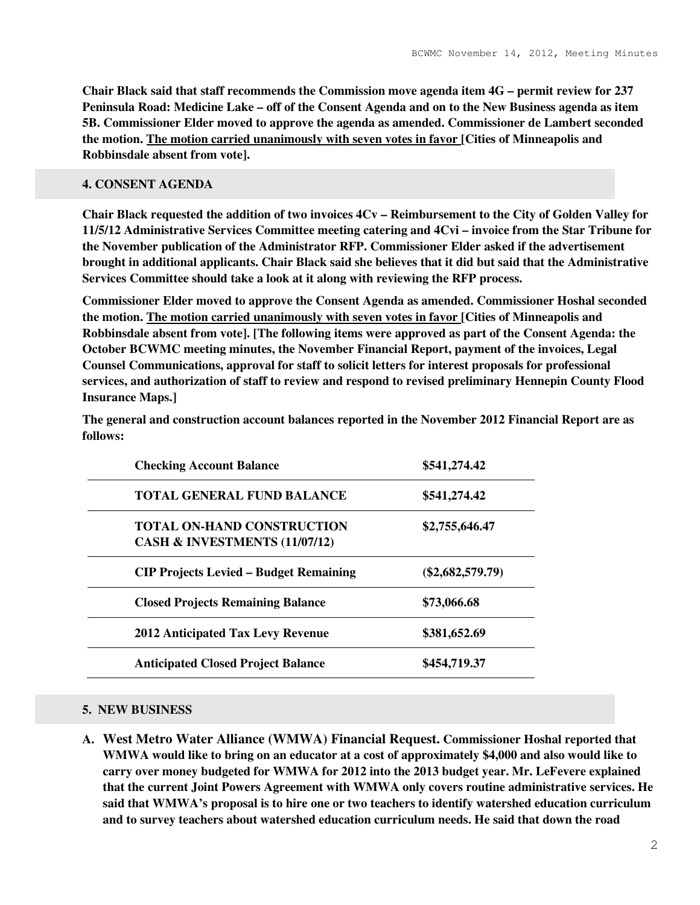**Chair Black said that staff recommends the Commission move agenda item 4G – permit review for 237 Peninsula Road: Medicine Lake – off of the Consent Agenda and on to the New Business agenda as item 5B. Commissioner Elder moved to approve the agenda as amended. Commissioner de Lambert seconded the motion. The motion carried unanimously with seven votes in favor [Cities of Minneapolis and Robbinsdale absent from vote].** 

# **4. CONSENT AGENDA**

**Chair Black requested the addition of two invoices 4Cv – Reimbursement to the City of Golden Valley for 11/5/12 Administrative Services Committee meeting catering and 4Cvi – invoice from the Star Tribune for the November publication of the Administrator RFP. Commissioner Elder asked if the advertisement brought in additional applicants. Chair Black said she believes that it did but said that the Administrative Services Committee should take a look at it along with reviewing the RFP process.** 

**Commissioner Elder moved to approve the Consent Agenda as amended. Commissioner Hoshal seconded the motion. The motion carried unanimously with seven votes in favor [Cities of Minneapolis and Robbinsdale absent from vote]. [The following items were approved as part of the Consent Agenda: the October BCWMC meeting minutes, the November Financial Report, payment of the invoices, Legal Counsel Communications, approval for staff to solicit letters for interest proposals for professional services, and authorization of staff to review and respond to revised preliminary Hennepin County Flood Insurance Maps.]** 

| <b>Checking Account Balance</b>                                    | \$541,274.42       |
|--------------------------------------------------------------------|--------------------|
| <b>TOTAL GENERAL FUND BALANCE</b>                                  | \$541,274.42       |
| <b>TOTAL ON-HAND CONSTRUCTION</b><br>CASH & INVESTMENTS (11/07/12) | \$2,755,646.47     |
| <b>CIP Projects Levied – Budget Remaining</b>                      | $(\$2,682,579.79)$ |
| <b>Closed Projects Remaining Balance</b>                           | \$73,066.68        |
| <b>2012 Anticipated Tax Levy Revenue</b>                           | \$381,652.69       |
| <b>Anticipated Closed Project Balance</b>                          | \$454,719.37       |

**The general and construction account balances reported in the November 2012 Financial Report are as follows:** 

## **5. NEW BUSINESS**

**A. West Metro Water Alliance (WMWA) Financial Request. Commissioner Hoshal reported that WMWA would like to bring on an educator at a cost of approximately \$4,000 and also would like to carry over money budgeted for WMWA for 2012 into the 2013 budget year. Mr. LeFevere explained that the current Joint Powers Agreement with WMWA only covers routine administrative services. He said that WMWA's proposal is to hire one or two teachers to identify watershed education curriculum and to survey teachers about watershed education curriculum needs. He said that down the road**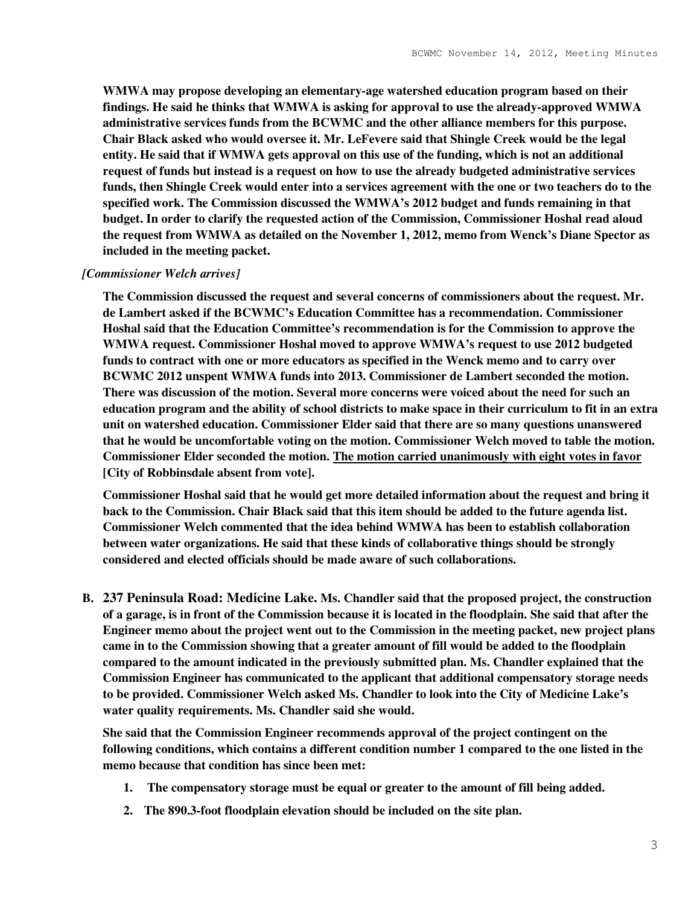**WMWA may propose developing an elementary-age watershed education program based on their findings. He said he thinks that WMWA is asking for approval to use the already-approved WMWA administrative services funds from the BCWMC and the other alliance members for this purpose. Chair Black asked who would oversee it. Mr. LeFevere said that Shingle Creek would be the legal entity. He said that if WMWA gets approval on this use of the funding, which is not an additional request of funds but instead is a request on how to use the already budgeted administrative services funds, then Shingle Creek would enter into a services agreement with the one or two teachers do to the specified work. The Commission discussed the WMWA's 2012 budget and funds remaining in that budget. In order to clarify the requested action of the Commission, Commissioner Hoshal read aloud the request from WMWA as detailed on the November 1, 2012, memo from Wenck's Diane Spector as included in the meeting packet.** 

#### *[Commissioner Welch arrives]*

**The Commission discussed the request and several concerns of commissioners about the request. Mr. de Lambert asked if the BCWMC's Education Committee has a recommendation. Commissioner Hoshal said that the Education Committee's recommendation is for the Commission to approve the WMWA request. Commissioner Hoshal moved to approve WMWA's request to use 2012 budgeted funds to contract with one or more educators as specified in the Wenck memo and to carry over BCWMC 2012 unspent WMWA funds into 2013. Commissioner de Lambert seconded the motion. There was discussion of the motion. Several more concerns were voiced about the need for such an education program and the ability of school districts to make space in their curriculum to fit in an extra unit on watershed education. Commissioner Elder said that there are so many questions unanswered that he would be uncomfortable voting on the motion. Commissioner Welch moved to table the motion. Commissioner Elder seconded the motion. The motion carried unanimously with eight votes in favor [City of Robbinsdale absent from vote].** 

**Commissioner Hoshal said that he would get more detailed information about the request and bring it back to the Commission. Chair Black said that this item should be added to the future agenda list. Commissioner Welch commented that the idea behind WMWA has been to establish collaboration between water organizations. He said that these kinds of collaborative things should be strongly considered and elected officials should be made aware of such collaborations.** 

**B. 237 Peninsula Road: Medicine Lake. Ms. Chandler said that the proposed project, the construction of a garage, is in front of the Commission because it is located in the floodplain. She said that after the Engineer memo about the project went out to the Commission in the meeting packet, new project plans came in to the Commission showing that a greater amount of fill would be added to the floodplain compared to the amount indicated in the previously submitted plan. Ms. Chandler explained that the Commission Engineer has communicated to the applicant that additional compensatory storage needs to be provided. Commissioner Welch asked Ms. Chandler to look into the City of Medicine Lake's water quality requirements. Ms. Chandler said she would.** 

**She said that the Commission Engineer recommends approval of the project contingent on the following conditions, which contains a different condition number 1 compared to the one listed in the memo because that condition has since been met:** 

- **1. The compensatory storage must be equal or greater to the amount of fill being added.**
- **2. The 890.3-foot floodplain elevation should be included on the site plan.**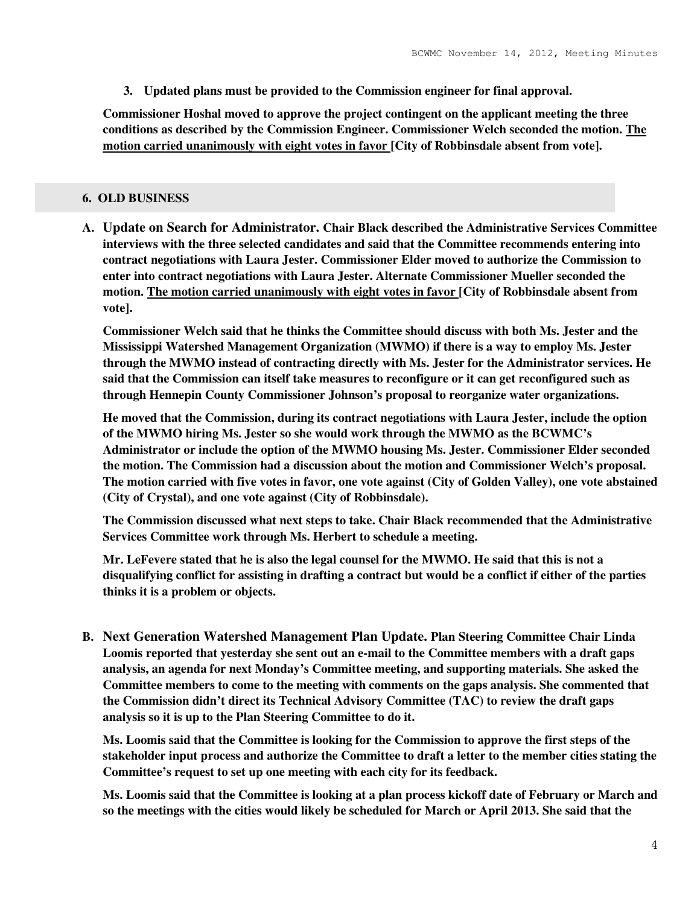**3. Updated plans must be provided to the Commission engineer for final approval.** 

**Commissioner Hoshal moved to approve the project contingent on the applicant meeting the three conditions as described by the Commission Engineer. Commissioner Welch seconded the motion. The motion carried unanimously with eight votes in favor [City of Robbinsdale absent from vote].** 

# **6. OLD BUSINESS**

**A. Update on Search for Administrator. Chair Black described the Administrative Services Committee interviews with the three selected candidates and said that the Committee recommends entering into contract negotiations with Laura Jester. Commissioner Elder moved to authorize the Commission to enter into contract negotiations with Laura Jester. Alternate Commissioner Mueller seconded the motion. The motion carried unanimously with eight votes in favor [City of Robbinsdale absent from vote].** 

**Commissioner Welch said that he thinks the Committee should discuss with both Ms. Jester and the Mississippi Watershed Management Organization (MWMO) if there is a way to employ Ms. Jester through the MWMO instead of contracting directly with Ms. Jester for the Administrator services. He said that the Commission can itself take measures to reconfigure or it can get reconfigured such as through Hennepin County Commissioner Johnson's proposal to reorganize water organizations.** 

**He moved that the Commission, during its contract negotiations with Laura Jester, include the option of the MWMO hiring Ms. Jester so she would work through the MWMO as the BCWMC's Administrator or include the option of the MWMO housing Ms. Jester. Commissioner Elder seconded the motion. The Commission had a discussion about the motion and Commissioner Welch's proposal. The motion carried with five votes in favor, one vote against (City of Golden Valley), one vote abstained (City of Crystal), and one vote against (City of Robbinsdale).** 

**The Commission discussed what next steps to take. Chair Black recommended that the Administrative Services Committee work through Ms. Herbert to schedule a meeting.** 

**Mr. LeFevere stated that he is also the legal counsel for the MWMO. He said that this is not a disqualifying conflict for assisting in drafting a contract but would be a conflict if either of the parties thinks it is a problem or objects.** 

**B. Next Generation Watershed Management Plan Update. Plan Steering Committee Chair Linda Loomis reported that yesterday she sent out an e-mail to the Committee members with a draft gaps analysis, an agenda for next Monday's Committee meeting, and supporting materials. She asked the Committee members to come to the meeting with comments on the gaps analysis. She commented that the Commission didn't direct its Technical Advisory Committee (TAC) to review the draft gaps analysis so it is up to the Plan Steering Committee to do it.** 

**Ms. Loomis said that the Committee is looking for the Commission to approve the first steps of the stakeholder input process and authorize the Committee to draft a letter to the member cities stating the Committee's request to set up one meeting with each city for its feedback.** 

**Ms. Loomis said that the Committee is looking at a plan process kickoff date of February or March and so the meetings with the cities would likely be scheduled for March or April 2013. She said that the**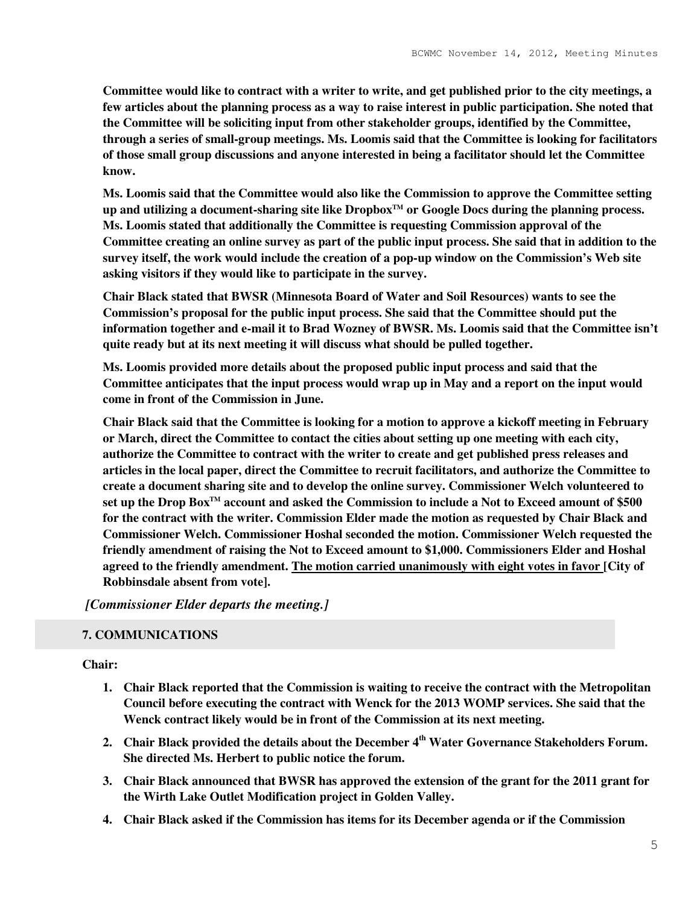**Committee would like to contract with a writer to write, and get published prior to the city meetings, a few articles about the planning process as a way to raise interest in public participation. She noted that the Committee will be soliciting input from other stakeholder groups, identified by the Committee, through a series of small-group meetings. Ms. Loomis said that the Committee is looking for facilitators of those small group discussions and anyone interested in being a facilitator should let the Committee know.** 

**Ms. Loomis said that the Committee would also like the Commission to approve the Committee setting up and utilizing a document-sharing site like DropboxTM or Google Docs during the planning process. Ms. Loomis stated that additionally the Committee is requesting Commission approval of the Committee creating an online survey as part of the public input process. She said that in addition to the survey itself, the work would include the creation of a pop-up window on the Commission's Web site asking visitors if they would like to participate in the survey.** 

**Chair Black stated that BWSR (Minnesota Board of Water and Soil Resources) wants to see the Commission's proposal for the public input process. She said that the Committee should put the information together and e-mail it to Brad Wozney of BWSR. Ms. Loomis said that the Committee isn't quite ready but at its next meeting it will discuss what should be pulled together.** 

**Ms. Loomis provided more details about the proposed public input process and said that the Committee anticipates that the input process would wrap up in May and a report on the input would come in front of the Commission in June.** 

**Chair Black said that the Committee is looking for a motion to approve a kickoff meeting in February or March, direct the Committee to contact the cities about setting up one meeting with each city, authorize the Committee to contract with the writer to create and get published press releases and articles in the local paper, direct the Committee to recruit facilitators, and authorize the Committee to create a document sharing site and to develop the online survey. Commissioner Welch volunteered to set up the Drop BoxTM account and asked the Commission to include a Not to Exceed amount of \$500 for the contract with the writer. Commission Elder made the motion as requested by Chair Black and Commissioner Welch. Commissioner Hoshal seconded the motion. Commissioner Welch requested the friendly amendment of raising the Not to Exceed amount to \$1,000. Commissioners Elder and Hoshal agreed to the friendly amendment. The motion carried unanimously with eight votes in favor [City of Robbinsdale absent from vote].** 

 *[Commissioner Elder departs the meeting.]*

## **7. COMMUNICATIONS**

#### **Chair:**

- **1. Chair Black reported that the Commission is waiting to receive the contract with the Metropolitan Council before executing the contract with Wenck for the 2013 WOMP services. She said that the Wenck contract likely would be in front of the Commission at its next meeting.**
- **2. Chair Black provided the details about the December 4th Water Governance Stakeholders Forum. She directed Ms. Herbert to public notice the forum.**
- **3. Chair Black announced that BWSR has approved the extension of the grant for the 2011 grant for the Wirth Lake Outlet Modification project in Golden Valley.**
- **4. Chair Black asked if the Commission has items for its December agenda or if the Commission**